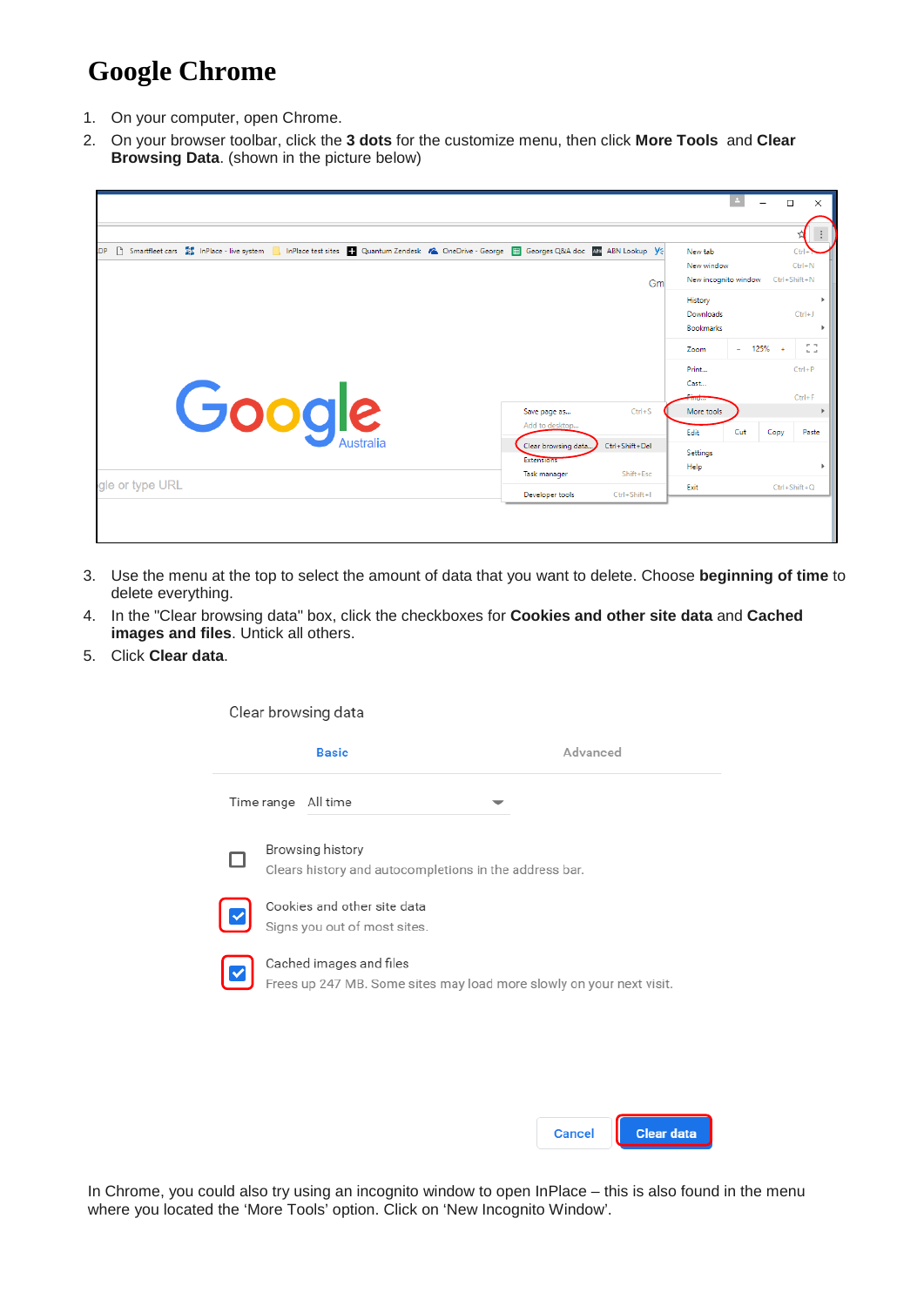## **Google Chrome**

- 1. On your computer, open Chrome.
- 2. On your browser toolbar, click the **3 dots** for the customize menu, then click **More Tools** and **Clear Browsing Data**. (shown in the picture below)

|                 |                                       |                |                                                                              |     | $\Box$             | $\times$                            |
|-----------------|---------------------------------------|----------------|------------------------------------------------------------------------------|-----|--------------------|-------------------------------------|
|                 |                                       |                |                                                                              |     |                    |                                     |
| <b>LDP</b>      |                                       | Gm             | New tab<br>New window<br>New incognito window<br>History<br><b>Downloads</b> |     | Ctrl+Shift+N       | $C$ trl<br>$Ctrl + N$<br>$Ctrl + J$ |
|                 |                                       |                | <b>Bookmarks</b><br>Zoom                                                     |     | $- 125% +$         | CG.                                 |
| Google          | Save page as                          | $CtrI + S$     | Print<br>Cast<br>سيستبدون<br>More tools                                      |     |                    | $Ctrl + P$<br>$Ctrl + F$            |
| Australia       | Add to desktop<br>Clear browsing data | Ctrl+Shift+Del | Edit                                                                         | Cut | Copy               | Paste                               |
|                 | Extensions<br><b>Task manager</b>     | Shift+Esc      | Settings<br>Help                                                             |     |                    |                                     |
| gle or type URL | Developer tools                       | Ctrl+Shift+I   | Exit                                                                         |     | $Ctrl + Shift + Q$ |                                     |

- 3. Use the menu at the top to select the amount of data that you want to delete. Choose **beginning of time** to delete everything.
- 4. In the "Clear browsing data" box, click the checkboxes for **Cookies and other site data** and **Cached images and files**. Untick all others.
- 5. Click **Clear data**.

| Clear browsing data                                                                             |          |
|-------------------------------------------------------------------------------------------------|----------|
| <b>Basic</b>                                                                                    | Advanced |
| Time range All time                                                                             |          |
| Browsing history<br>Clears history and autocompletions in the address bar.                      |          |
| Cookies and other site data<br>Signs you out of most sites.                                     |          |
| Cached images and files<br>Frees up 247 MB. Some sites may load more slowly on your next visit. |          |

| Cancel | <b>Clear data</b> |
|--------|-------------------|
|--------|-------------------|

In Chrome, you could also try using an incognito window to open InPlace – this is also found in the menu where you located the 'More Tools' option. Click on 'New Incognito Window'.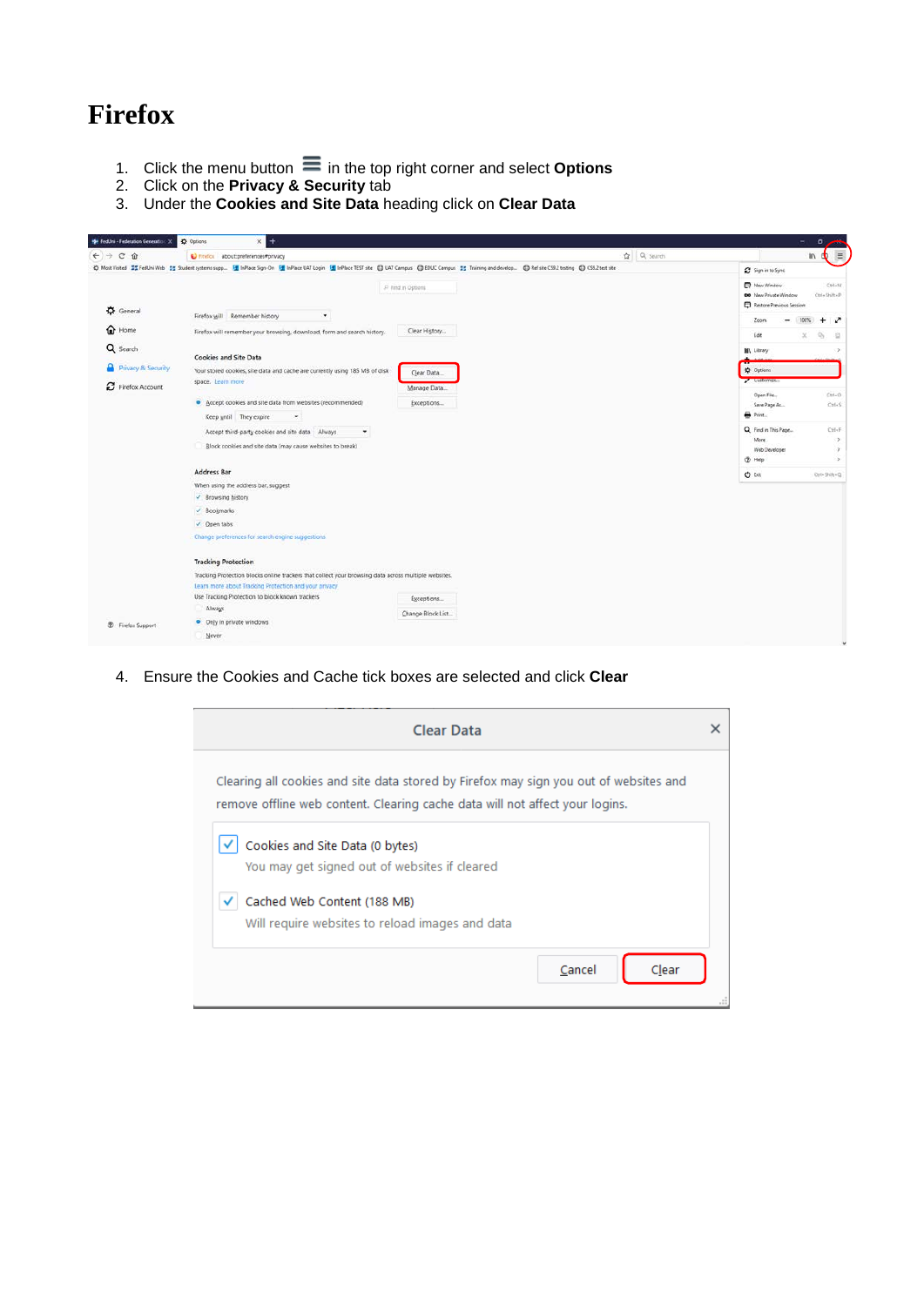## **Firefox**

- 1. Click the menu button in the top right corner and select **Options**
- 2. Click on the **Privacy & Security** tab
- 3. Under the **Cookies and Site Data** heading click on **Clear Data**

| <b>He TedUni - Federation Generation:</b> X  | <b>C</b> Options<br>$\times$ +                                                                                                                                                                                   |                   | $\overline{\phantom{a}}$<br>$\circ$                                         |
|----------------------------------------------|------------------------------------------------------------------------------------------------------------------------------------------------------------------------------------------------------------------|-------------------|-----------------------------------------------------------------------------|
| $\leftarrow$ $\rightarrow$ $\alpha$ $\alpha$ | C Finefox about:preferences#privacy                                                                                                                                                                              | $\Omega$ Q Search | $\equiv$<br>W.                                                              |
|                                              | © Most Visited ## FedUni Web ## Student systems supp. [# InPlace Sign-On [# InPlace UAT Login [# InPlace TEST site @ UAT Campus @ EDUC Campus ## Training and develop @ Ref site CS9.2 testing @ CS9.2 test site |                   | Sign in to Sync                                                             |
|                                              | P Find in Options                                                                                                                                                                                                |                   | <sup>2</sup> New Window<br>CshbN<br>00 New Private Window<br>Ctrl+Shift+P   |
| $\bigstar$ General                           | Firefox will Remember history<br>$\blacksquare$                                                                                                                                                                  |                   | Restore Previous Session<br>100%                                            |
| <sup>O</sup> Home                            | Clear History<br>Firefox will remember your browsing, download, form and search history.                                                                                                                         |                   | Zoom<br>$+$<br>x<br>Edit<br>$\mathcal{D}_{\mathcal{C}}$<br>×                |
| Q Search                                     |                                                                                                                                                                                                                  |                   | <b>III</b> Library                                                          |
|                                              | <b>Cookies and Site Data</b>                                                                                                                                                                                     |                   |                                                                             |
| Privacy & Security                           | Your stored cookies, site data and cache are currently using 185 MB of disk<br>Clear Data                                                                                                                        |                   | ☆ Options                                                                   |
| C Firefox Account                            | space. Learn more<br>Manage Data                                                                                                                                                                                 |                   | $\sim$ consenses                                                            |
|                                              | · Accept cookies and site data from websites (recommended)<br>Exceptions                                                                                                                                         |                   | Open File<br>$Crit - C$<br>Save Page As<br>Ctrl+S                           |
|                                              | Keep until They expire<br>$\bullet$                                                                                                                                                                              |                   | $\overline{\Theta}$ Print                                                   |
|                                              | Accept third-party cookies and site data Always<br>٠                                                                                                                                                             |                   | Q Find in This Page<br>Ctif+F                                               |
|                                              | Block cookies and site data (may cause websites to break)                                                                                                                                                        |                   | More<br>-5<br>Web Developer<br><b>D</b> Help<br>$\mathcal{L}_{\mathcal{A}}$ |
|                                              | <b>Address Bar</b>                                                                                                                                                                                               |                   | O bit<br>Ctrl+Shift+Q                                                       |
|                                              | When using the address bar, suggest                                                                                                                                                                              |                   |                                                                             |
|                                              | V Browsing history                                                                                                                                                                                               |                   |                                                                             |
|                                              | $\vee$ Bookmarks                                                                                                                                                                                                 |                   |                                                                             |
|                                              | √ Open tabs                                                                                                                                                                                                      |                   |                                                                             |
|                                              | Change preferences for search engine suggestions                                                                                                                                                                 |                   |                                                                             |
|                                              | <b>Tracking Protection</b>                                                                                                                                                                                       |                   |                                                                             |
|                                              | Tracking Protection blocks online trackers that collect your browsing data across multiple websites.<br>Learn more about Tracking Protection and your privacy                                                    |                   |                                                                             |
|                                              | Use Tracking Protection to block known trackers<br>Exceptions                                                                                                                                                    |                   |                                                                             |
|                                              | Always<br>Change Block List                                                                                                                                                                                      |                   |                                                                             |
| <b>D</b> Firefox Support                     | • Only in private windows                                                                                                                                                                                        |                   |                                                                             |
|                                              | Never                                                                                                                                                                                                            |                   |                                                                             |
|                                              |                                                                                                                                                                                                                  |                   |                                                                             |

4. Ensure the Cookies and Cache tick boxes are selected and click **Clear**

| <b>Clear Data</b>                                                                                                                                                     | x |
|-----------------------------------------------------------------------------------------------------------------------------------------------------------------------|---|
| Clearing all cookies and site data stored by Firefox may sign you out of websites and<br>remove offline web content. Clearing cache data will not affect your logins. |   |
| Cookies and Site Data (0 bytes)<br>You may get signed out of websites if cleared                                                                                      |   |
| Cached Web Content (188 MB)<br>Will require websites to reload images and data                                                                                        |   |
| Cancel<br>Clear                                                                                                                                                       |   |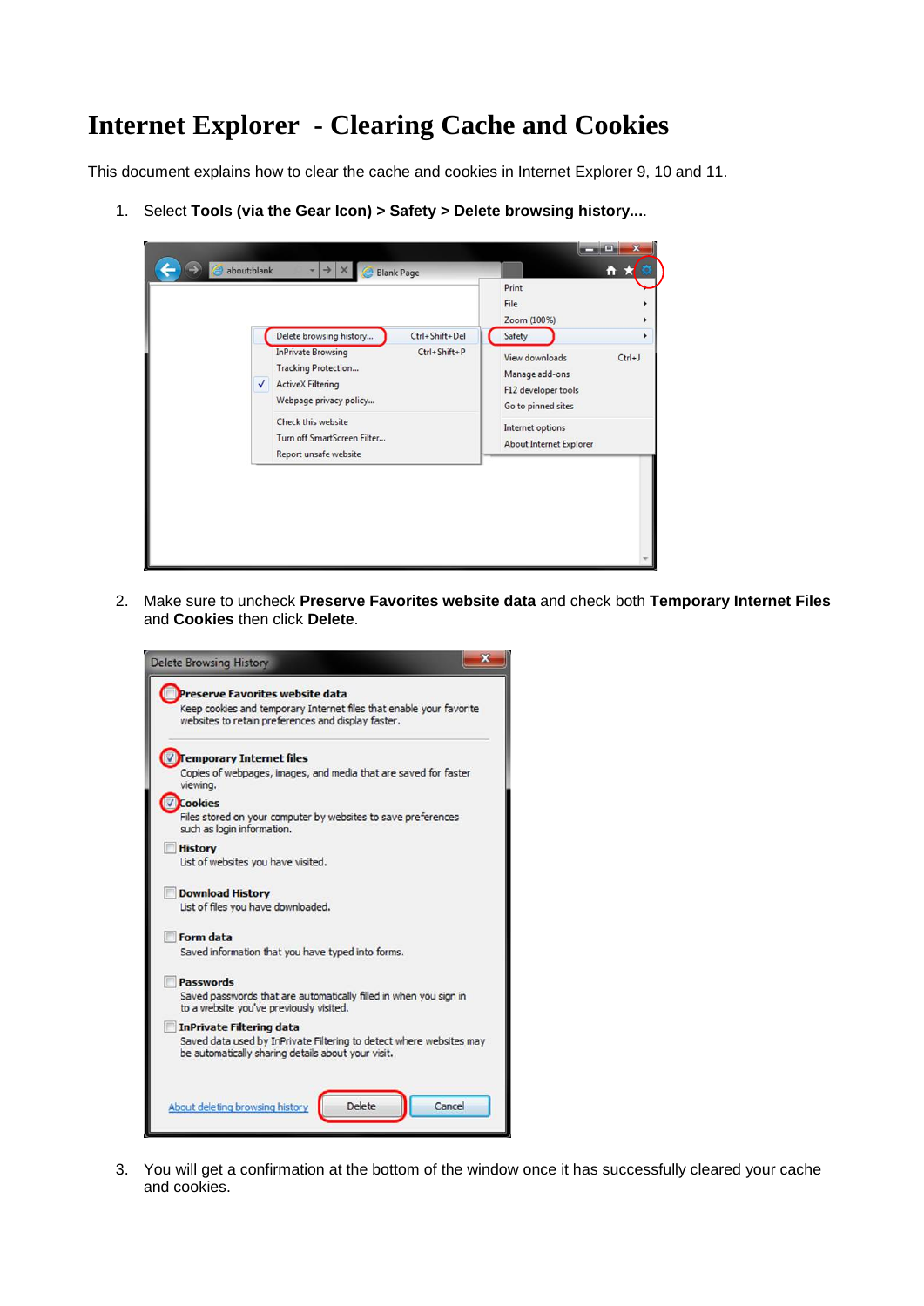## **Internet Explorer - Clearing Cache and Cookies**

This document explains how to clear the cache and cookies in Internet Explorer 9, 10 and 11.

1. Select **Tools (via the Gear Icon) > Safety > Delete browsing history...**.



2. Make sure to uncheck **Preserve Favorites website data** and check both **Temporary Internet Files** and **Cookies** then click **Delete**.



3. You will get a confirmation at the bottom of the window once it has successfully cleared your cache and cookies.